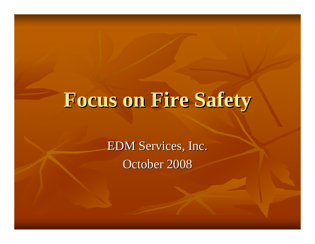## **Focus on Fire Safety Focus on Fire Safety**

EDM Services, Inc. October 2008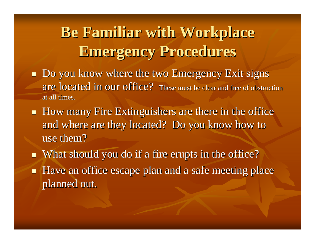## **Be Familiar with Workplace Emergency Procedures Emergency Procedures**

- **Do you know where the two Emergency Exit signs** are located in our office? These must be clear and free of obstruction at all times.
- $\blacksquare$  How many Fire Extinguishers are there in the office and where are they located? Do you know how to use them?
- $\blacksquare$  What should you do if a fire erupts in the office?
- $\blacksquare$ Have an office escape plan and a safe meeting place planned out.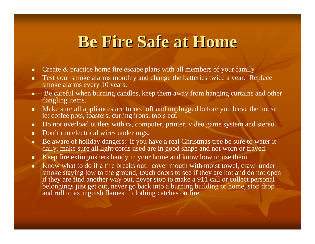## **Be Fire Safe at Home Be Fire Safe at Home**

- $\blacksquare$ Create & practice home fire escape plans with all members of your family
- $\blacksquare$  Test your smoke alarms monthly and change the batteries twice a year. Replace smoke alarms every 10 years.
- Be careful when burning candles, keep them away from hanging curtains and other dangling items.
- $\blacksquare$  Make sure all appliances are turned off and unplugged before you leave the house ie: coffee pots, toasters, curling irons, tools ect.
- п Do not overload outlets with tv, computer, printer, video game system and stereo.
- $\blacksquare$ Don't run electrical wires under rugs.
- п Be aware of holiday dangers: if you have a real Christmas tree be sure to water it daily, make sure all light cords used are in good shape and not worn or frayed.
- п Keep fire extinguishers handy in your home and know how to use them.
- $\blacksquare$  Know what to do if a fire breaks out: cover mouth with moist towel, crawl under smoke staying low to the ground, touch doors to see if they are hot and do not open if they are find another way out, never stop to make a 911 call or collect personal belongings just get out, never go back into a burning building or home, stop drop and roll to extinguish flames if clothing catches on fire.